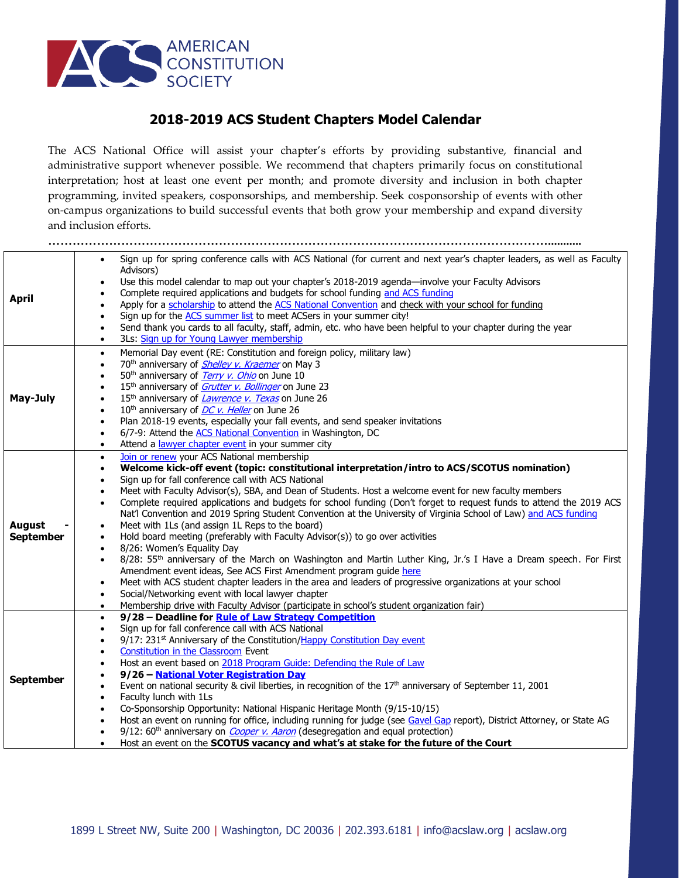

## **2018-2019 ACS Student Chapters Model Calendar**

The ACS National Office will assist your chapter's efforts by providing substantive, financial and administrative support whenever possible. We recommend that chapters primarily focus on constitutional interpretation; host at least one event per month; and promote diversity and inclusion in both chapter programming, invited speakers, cosponsorships, and membership. Seek cosponsorship of events with other on-campus organizations to build successful events that both grow your membership and expand diversity and inclusion efforts.

|                  | Sign up for spring conference calls with ACS National (for current and next year's chapter leaders, as well as Faculty<br>$\bullet$       |  |  |
|------------------|-------------------------------------------------------------------------------------------------------------------------------------------|--|--|
|                  | Advisors)                                                                                                                                 |  |  |
| <b>April</b>     | Use this model calendar to map out your chapter's 2018-2019 agenda-involve your Faculty Advisors                                          |  |  |
|                  | Complete required applications and budgets for school funding and ACS funding                                                             |  |  |
|                  | Apply for a scholarship to attend the ACS National Convention and check with your school for funding                                      |  |  |
|                  | Sign up for the ACS summer list to meet ACSers in your summer city!<br>$\bullet$                                                          |  |  |
|                  | Send thank you cards to all faculty, staff, admin, etc. who have been helpful to your chapter during the year<br>$\bullet$                |  |  |
|                  | 3Ls: Sign up for Young Lawyer membership<br>$\bullet$                                                                                     |  |  |
| May-July         | Memorial Day event (RE: Constitution and foreign policy, military law)<br>$\bullet$                                                       |  |  |
|                  | 70 <sup>th</sup> anniversary of <b>Shelley v. Kraemer</b> on May 3<br>$\bullet$                                                           |  |  |
|                  | 50 <sup>th</sup> anniversary of <i>Terry v. Ohio</i> on June 10                                                                           |  |  |
|                  | 15 <sup>th</sup> anniversary of <i>Grutter v. Bollinger</i> on June 23                                                                    |  |  |
|                  | 15 <sup>th</sup> anniversary of <i>Lawrence v. Texas</i> on June 26                                                                       |  |  |
|                  | 10 <sup>th</sup> anniversary of <i>DC v. Heller</i> on June 26<br>$\bullet$                                                               |  |  |
|                  | Plan 2018-19 events, especially your fall events, and send speaker invitations<br>$\bullet$                                               |  |  |
|                  | 6/7-9: Attend the ACS National Convention in Washington, DC                                                                               |  |  |
|                  | Attend a lawyer chapter event in your summer city<br>$\bullet$                                                                            |  |  |
|                  | Join or renew your ACS National membership<br>$\bullet$                                                                                   |  |  |
|                  | Welcome kick-off event (topic: constitutional interpretation/intro to ACS/SCOTUS nomination)<br>$\bullet$                                 |  |  |
|                  | Sign up for fall conference call with ACS National<br>$\bullet$                                                                           |  |  |
|                  | Meet with Faculty Advisor(s), SBA, and Dean of Students. Host a welcome event for new faculty members                                     |  |  |
|                  | Complete required applications and budgets for school funding (Don't forget to request funds to attend the 2019 ACS<br>$\bullet$          |  |  |
|                  | Nat'l Convention and 2019 Spring Student Convention at the University of Virginia School of Law) and ACS funding                          |  |  |
| <b>August</b>    | Meet with 1Ls (and assign 1L Reps to the board)                                                                                           |  |  |
| <b>September</b> | Hold board meeting (preferably with Faculty Advisor(s)) to go over activities<br>$\bullet$                                                |  |  |
|                  | 8/26: Women's Equality Day<br>$\bullet$                                                                                                   |  |  |
|                  | 8/28: 55 <sup>th</sup> anniversary of the March on Washington and Martin Luther King, Jr.'s I Have a Dream speech. For First<br>$\bullet$ |  |  |
|                  | Amendment event ideas, See ACS First Amendment program guide here                                                                         |  |  |
|                  | Meet with ACS student chapter leaders in the area and leaders of progressive organizations at your school<br>$\bullet$                    |  |  |
|                  | Social/Networking event with local lawyer chapter                                                                                         |  |  |
|                  | Membership drive with Faculty Advisor (participate in school's student organization fair)<br>$\bullet$                                    |  |  |
|                  | 9/28 - Deadline for Rule of Law Strategy Competition<br>$\bullet$                                                                         |  |  |
|                  | Sign up for fall conference call with ACS National<br>$\bullet$                                                                           |  |  |
|                  | 9/17: 231 <sup>st</sup> Anniversary of the Constitution/Happy Constitution Day event<br>$\bullet$                                         |  |  |
|                  | Constitution in the Classroom Event                                                                                                       |  |  |
|                  | Host an event based on 2018 Program Guide: Defending the Rule of Law                                                                      |  |  |
| <b>September</b> | 9/26 - National Voter Registration Day                                                                                                    |  |  |
|                  | Event on national security & civil liberties, in recognition of the $17th$ anniversary of September 11, 2001                              |  |  |
|                  | Faculty lunch with 1Ls<br>$\bullet$                                                                                                       |  |  |
|                  | Co-Sponsorship Opportunity: National Hispanic Heritage Month (9/15-10/15)<br>$\bullet$                                                    |  |  |
|                  | Host an event on running for office, including running for judge (see Gavel Gap report), District Attorney, or State AG                   |  |  |
|                  | 9/12: 60 <sup>th</sup> anniversary on <i>Cooper v. Aaron</i> (desegregation and equal protection)                                         |  |  |
|                  | Host an event on the SCOTUS vacancy and what's at stake for the future of the Court                                                       |  |  |